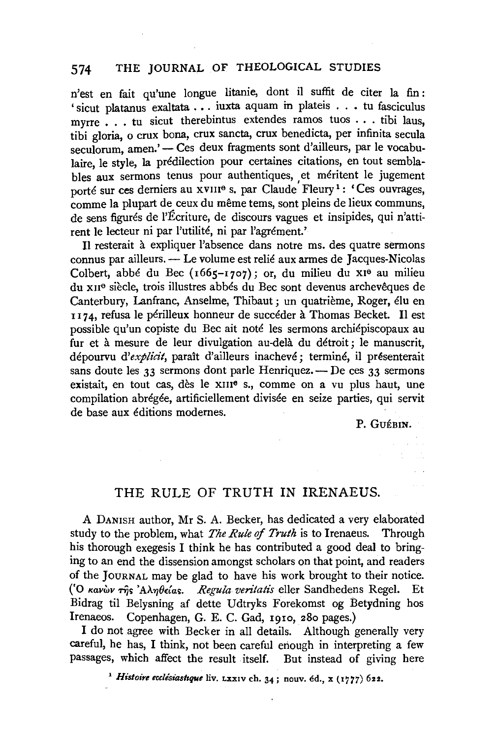## 574 THE JOURNAL OF THEOLOGICAL STUDIES

n'est en fait qu'une longue litanie, dont ii suffit de citer la fin : ' sicut platanus exaltata . • . iuxta aquam in plateis . . • tu fasciculus myrre . . . tu sicut therebintus extendes ramos tuos . . . tibi laus. tibi gloria, o crux bona, crux sancta, crux benedicta, per infinita secula seculorum, amen.' - Ces deux fragments sont d'ailleurs, par le vocabulaire, le style, la predilection pour certaines citations, en tout semblables aux sermons tenus pour authentiques, et meritent le jugement porté sur ces derniers au xvIII<sup>e</sup> s. par Claude Fleury<sup>1</sup>: 'Ces ouvrages, comme la plupart de ceux du même tems, sont pleins de lieux communs, de sens figures de l'Ecriture, de discours vagues et insipides, qui n'attirent le lecteur ni par l'utilité, ni par l'agrément.'

II resterait a expliquer !'absence dans notre ms. des quatre sermons connus par ailleurs. - Le volume est relie aux armes de Jacques-Nicolas Colbert, abbe du Bee (1665-1707); or, du milieu du x1e au milieu du xue siecle, trois illustres abbes du Bee sont devenus archeveques de Canterbury, Lanfranc, Anselme, Thibaut; un quatrième, Roger, élu en 1174, refusa le périlleux honneur de succéder à Thomas Becket. Il est possible qu'un copiste du Bee ait note les sermons archiepiscopaux au fur et à mesure de leur divulgation au-delà du détroit; le manuscrit, dépourvu d'explicit, paraît d'ailleurs inachevé; terminé, il présenterait sans doute les 33 sermons dont parle Henriquez.  $\sim$  De ces 33 sermons existait, en tout cas, dès le xiii<sup>e</sup> s., comme on a vu plus haut, une compilation abrégée, artificiellement divisée en seize parties, qui servit de base aux editions modernes.

P. GUÉBIN.

## THE RULE OF TRUTH IN IRENAEUS.

A DANISH author, Mr S. A. Becker, has dedicated a very elaborated study to the problem, what *The Rule of Truth* is to Irenaeus. Through his thorough exegesis I think he has contributed a good deal to bringing to an end the dissension amongst scholars on that point, and readers of the JOURNAL may be glad to have his work brought to their notice. ('Ο κανών της 'Αληθείας. *Regula veritatis* eller Sandhedens Regel. Et Bidrag til Belysning af dette Udtryks Forekomst og Betydning hos Irenaeos. Copenhagen, G. E. C. Gad, 1910, 280 pages.)

I do not agree with Becker in all details. Although generally very careful, he has, I think, not been careful enough in interpreting a few passages, which affect the result itself. But instead of giving here

<sup>1</sup> Histoire ecclésiastique liv. LXXIV ch. 34; nouv. éd., x (1777) 622.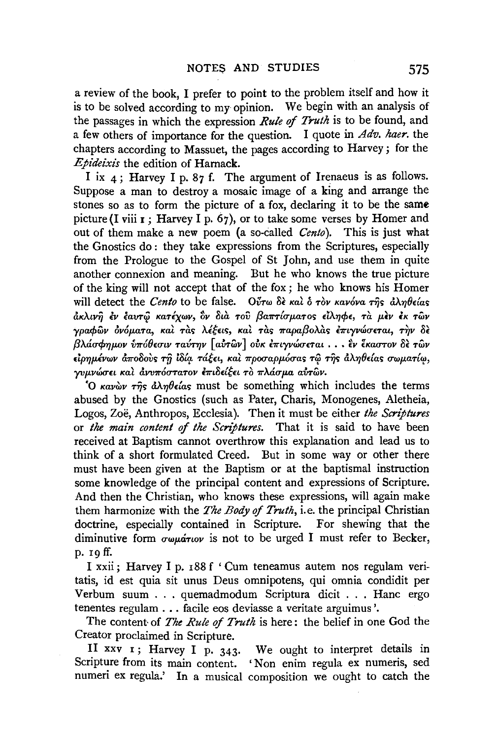a review of the book, I prefer to point to the problem itself and how it is to be solved according to my opinion. We begin with an analysis of the passages in which the expression *Rule* of *Truth* is to be found, and a few others of importance for the question. I quote in *Adv. haer.* the chapters according to Massuet, the pages according to Harvey; for the *Epideixis* the edition of Harnack.

I ix  $4$ ; Harvey I p. 87 f. The argument of Irenaeus is as follows. Suppose a man to destroy a mosaic image of a king and arrange the stones so as to form the picture of a fox, declaring it to be the same picture (I viii  $r$ ; Harvey I p. 67), or to take some verses by Homer and out of them make a new poem (a so-called *Cento).* This is just what the Gnostics do : they take expressions from the Scriptures, especially from the Prologue to the Gospel of St John, and use them in quite another connexion and meaning. But he who knows the true picture of the king will not accept that of the fox ; he who knows his Homer will detect the *Cento* to be false. Oύτω δε και ο τον κανόνα της άληθείας nKAtvij *£v (aV'Tce KaTlxwv, 3v Si?i TOV {3a7r'T{rrµ,aTO') £lAYJcp£, Ta* µ,~v *lK TWV ypacpwv l>v6µ,am, Kal Ta> ,\lfm, Kal* Tas *7rapa{3oA.a> bnyv<firr£Tai,* T~v Sf: ,., *Q,\',J. arr'f'YJJJ-OV V7r0 ''()* £rFtV *TaVT'Y}V* '[•~]••' *avTwV OVK £7rt)'VWU'£Tal* .•• *£V* .,~ *£KarFTOV* 0£ ""~ *TWV*   $\epsilon$ *ipημένων αποδούς τη ιδία τάξει, και προσαρμόσας τω της αληθείας σωματίω, yvµvώσει και αννπόστατον επιδείξει το πλάσμα αυτ*ών.

'O  $\kappa a\nu\omega\nu\tau\hat{\eta}s$   $\partial\lambda\eta\theta\epsilon\hat{\iota}a\varsigma$  must be something which includes the terms abused by the Gnostics (such as Pater, Charis, Monogenes, Aletheia, Logos, Zoe, Anthropos, Ecclesia). Then it must be either *the Scriptures*  or *the main content* of *the Scriptures.* That it is said to have been received at Baptism cannot overthrow this explanation and lead us to think of a short formulated Creed. But in some way or other there must have been given at the Baptism or at the baptismal instruction some knowledge of the principal content and expressions of Scripture. And then the Christian, who knows these expressions, will again make them harmonize with the *The Body* of *Truth,* i.e. the principal Christian doctrine, especially contained in Scripture. For shewing that the diminutive form  $\sigma \omega \mu \acute{a} \tau \omega \nu$  is not to be urged I must refer to Becker, p. 19 ff.

I xxii; Harvey I p. 188 f 'Cum teneamus autem nos regulam veritatis, id est quia sit unus Deus omnipotens, qui omnia condidit per Verbum suum . . . quemadmodum Scriptura dicit . . . Hanc ergo tenentes regulam ... facile eos deviasse a veritate arguimus '.

The content· of *The Rule* of *Truth* is here : the belief in one God the Creator proclaimed in Scripture.

II xxv 1 ; Harvey I p. 343. We ought to interpret details in Scripture from its main content. 'Non enim regula ex numeris, sed numeri ex regula.' In a musical composition we ought to catch the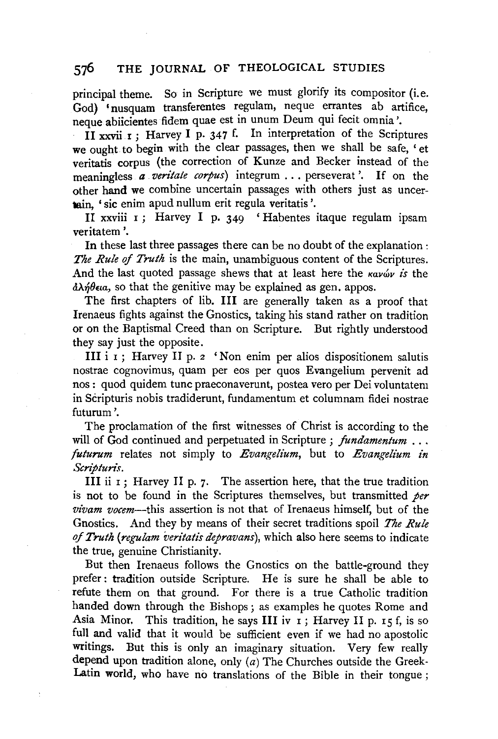# 576 THE JOURNAL OF THEOLOGICAL STUDIES

principal theme. So in Scripture we must glorify its compositor (i.e. God) 'nusquam transferentes regulam, neque errantes ab artifice, neque abiicientes fidem quae est in unum Deum qui fecit omnia '.

II xxvii  $r$  ; Harvey I p. 347 f. In interpretation of the Scriptures we ought to begin with the clear passages, then we shall be safe. 'et veritatis corpus (the correction of Kunze and Becker instead of the meaningless *a veritate corpus)* integrum ... perseverat '. If on the other hand we combine uncertain passages with others just as uncertain, 'sic enim apud nullum erit regula veritatis'.

II xxviii  $r$ ; Harvey I p. 349 'Habentes itaque regulam ipsam veritatem '.

In these last three passages there can be no doubt of the explanation : *The Rule* of *Truth* is the main, unambiguous content of the Scriptures. And the last quoted passage shews that at least here the *kav*<sub>w</sub> *is* the  $\partial \lambda \eta \theta_{\epsilon}$  so that the genitive may be explained as gen. appos.

The first chapters of lib. III are generally taken as a proof that Irenaeus fights against the Gnostics, taking his stand rather on tradition or on the Baptismal Creed than on Scripture. But rightly understood they say just the opposite.

III i 1 ; Harvey II p. 2 'Non enim per alias dispositionem salutis nostrae cognovimus, quam per eos per quos Evangelium pervenit ad nos : quod quidem tune praeconaverunt, postea vero per Dei voluntatem in Scripturis nobis tradiderunt, fundamentum et columnam fidei nostrae futurum '.

The proclamation of the first witnesses of Christ is according to the will of God continued and perpetuated in Scripture ; *fundamentum* ... *futurum* relates not simply to *Evangelium,* but to *Evangelium in Scripturis.* 

III ii  $I$ ; Harvey II p. 7. The assertion here, that the true tradition is not to be found in the Scriptures themselves, but transmitted *per vivam vocem-this* assertion is not that of Irenaeus himself, but of the Gnostics. And they by means of their secret traditions spoil *The Rule of Truth (regulam 'veritatis depravans),* which also here seems to indicate the true, genuine Christianity.

But then Irenaeus follows the Gnostics on the battle-ground they prefer : tradition outside Scripture. He is sure he shall be able to refute them on that ground. For there is a true Catholic tradition handed down through the Bishops ; as examples he quotes Rome and Asia Minor. This tradition, he says III iv  $I$ ; Harvey II p. 15 f, is so full and valid that it would be sufficient even if we had no apostolic writings. But this is only an imaginary situation. Very few really depend upon tradition alone, only  $(a)$  The Churches outside the Greek-Latin world, who have no translations of the Bible in their tongue ;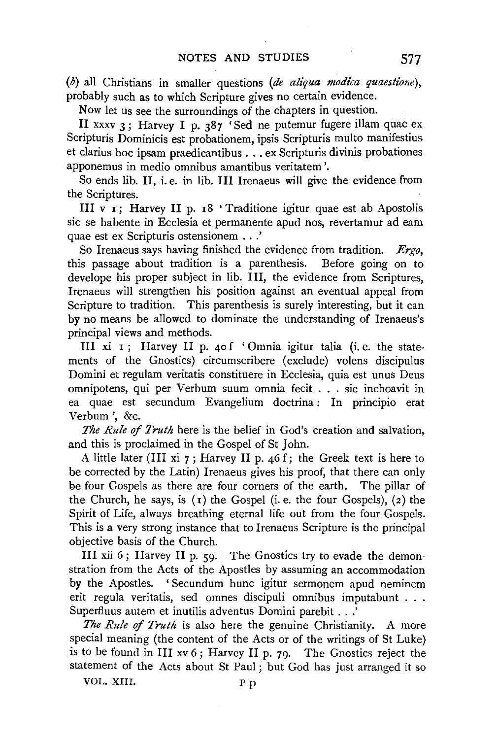(b) all Christians in smaller questions *(de aliqua modica quaestione),*  probably such as to which Scripture gives no certain evidence.

Now let us see the surroundings of the chapters in question.

II xxxv 3 ; Harvey I p. 387 'Sed ne putemur fugere illam quae ex Scripturis Dominicis est probationem, ipsis Scripturis multo manifestius et clarius hoe ipsam praedicantibus ... ex Scripturis divinis probationes apponemus in medio omnibus amantibus veritatem '.

So ends lib. II, i.e. in lib. III Irenaeus will give the evidence from the Scriptures.

III v  $\mathbf{I}$ ; Harvey II p. 18 ' Traditione igitur quae est ab Apostolis sic se habente in Ecclesia et permanente apud nos, revertamur ad eam quae est ex Scripturis ostensionem .. .'

So Irenaeus says having finished the evidence from tradition. *Ergo,*  this passage about tradition is a parenthesis. Before going on to develope his proper subject in lib. III, the evidence from Scriptures, Irenaeus will strengthen his position against an eventual appeal from Scripture to tradition. This parenthesis is surely interesting, but it can by no means be allowed to dominate the understanding of Irenaeus's principal views and methods.

III xi I; Harvey II p. 40 f 'Omnia igitur talia (i.e. the statements of the Gnostics) circumscribere (exclude) volens discipulus Domini et regulam veritatis constituere in Ecclesia, quia est unus Deus omnipotens, qui per Verbum suum omnia fecit ... sic inchoavit in ea quae est secundum Evangelium doctrina : In principio erat Verbum ', &c.

*The Rule of Truth* here is the belief in God's creation and salvation, and this is proclaimed in the Gospel of St John.

A little later (III xi  $7$ ; Harvey II p. 46 f; the Greek text is here to be corrected by the Latin) Irenaeus gives his proof, that there can only be four Gospels as there are four corners of the earth. The pillar of the Church, he says, is  $(1)$  the Gospel (i. e. the four Gospels),  $(2)$  the Spirit of Life, always breathing eternal life out from the four Gospels. This is a very strong instance that to Irenaeus Scripture is the principal objective basis of the Church.

III xii 6; Harvey II p.  $59$ . The Gnostics try to evade the demonstration from the Acts of the Apostles by assuming an accommodation by the Apostles. 'Secundum hunc igitur sermonem apud neminem erit regula veritatis, sed omnes discipuli omnibus imputabunt . . . Superfluus autem et inutilis adventus Domini parebit .. .'

*The Rule* of *Truth* is also here the genuine Christianity. A more special meaning (the content of the Acts or of the writings of St Luke) is to be found in III xv 6; Harvey II p. 79. The Gnostics reject the statement of the Acts about St Paul ; but God has just arranged it so

VOL. XIII. P p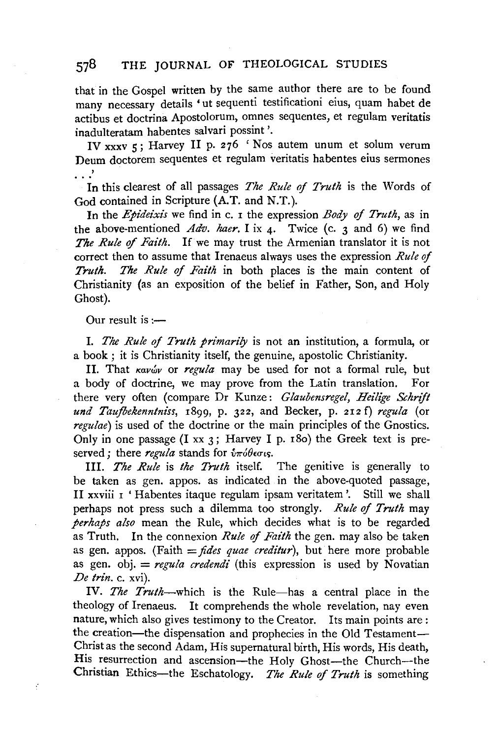## 578 THE JOURNAL OF THEOLOGICAL STUDIES

that in the Gospel written by the same author there are to be found many necessary details 'ut sequenti testificationi eius, quam habet de actibus et doctrina Apostolorum, omnes sequentes, et regulam veritatis inadulteratam habentes salvari possint '.

IV xxxv 5; Harvey II p. 276 'Nos autem unum et solum verum Deum doctorem sequentes et regulam veritatis habentes eius sermones . . .'

In this clearest of all passages *The Rule of Truth* is the Words of God contained in Scripture (A.T. and N.T.).

In the *Epideixis* we find in c. 1 the expression *Body of Truth,* as in the above-mentioned  $Adv.$  haer. I ix  $\mu$ . Twice (c. 3 and 6) we find *The Rule of Faith.* If we may trust the Armenian translator it is not correct then to assume that Irenaeus always uses the expression *Rule* of *Truth. The Rule of Faith* in both places is the main content of Christianity (as an exposition of the belief in Father, Son, and Holy Ghost).

Our result is  $:$ 

ł

1. *The Rule of Truth primarily* is not an institution, a formula, or a book ; it is Christianity itself, the genuine, apostolic Christianity.

II. That Kavwy or regula may be used for not a formal rule, but a body of doctrine, we may prove from the Latin translation. For there very often (compare Dr Kunze: *Glaubensregel, Heilige Schrift und Taufbekenntniss,* 1899, p. 322, and Becker, p. 212 f) *regula* (or *regulae)* is used of the doctrine or the main principles of the Gnostics. Only in one passage (I xx 3; Harvey I p. 180) the Greek text is preserved ; there regula stands for  $\hat{v}\pi\omega\theta\epsilon\sigma\omega$ .

Ill. *The Rule* is *the Truth* itself. The genitive is generally to be taken as gen. appos. as indicated in the above-quoted passage, II xxviii 1 ' Habentes itaque regulam ipsam veritatem '. Still we shall perhaps not press such a dilemma too strongly. *Rule of Truth* may *perhaps also* mean the Rule, which decides what is to be regarded as Truth. In the connexion *Rule of Faith* the gen. may also be taken as gen. appos. (Faith  $=$  *fides quae creditur*), but here more probable as gen. obj. = *regula credendi* (this expression is used by Novatian *De trin.* c. xvi).

IV. The Truth-which is the Rule-has a central place in the theology of Irenaeus. It comprehends the whole revelation, nay even nature, which also gives testimony to the Creator. Its main points are: the creation-the dispensation and prophecies in the Old Testament-Christ as the second Adam, His supernatural birth, His words, His death, His resurrection and ascension-the Holy Ghost-the Church--the Christian Ethics-the Eschatology. *The Rule* of *Truth* is something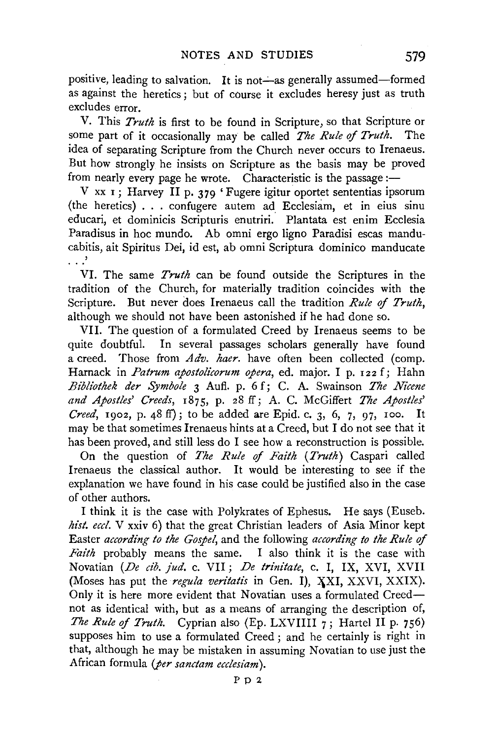positive, leading to salvation. It is not—as generally assumed—formed as against the heretics; but of course it excludes heresy just as truth excludes error.

V. This *Truth* is first to be found in Scripture, so that Scripture or some part of it occasionally may be called *The Rule of Truth.* The idea of separating Scripture from the Church never occurs to Irenaeus. But how strongly he insists on Scripture as the basis may be proved from nearly every page he wrote. Characteristic is the passage:-

V xx 1; Harvey II p. 379 'Fugere igitur oportet sententias ipsorum (the heretics) ... confugere autem ad Ecclesiam, et in eius sinu educari, et dominicis Scripturis enutriri. Plantata est enim Ecclesia Paradisus in hoe mundo. Ab omni ergo ligno Paradisi escas manducabitis, ait Spiritus Dei, id est, ab omni Scriptura dominico manducate '<br>--

VI. The same *Truth* can be found outside the Scriptures in the tradition of the Church, for materially tradition coincides with the Scripture. But never does Irenaeus call the tradition *Rule* of *Truth,*  although we should not have been astonished if he had done so.

VIL The question of a formulated Creed by Irenaeus seems to be quite doubtful. In several passages scholars generally have found a creed. Those from *Adv. haer.* have often been collected (comp. Harnack in *Patrum apostolicorum opera*, ed. major. I p. 122 f; Hahn *Bibliothek der Symbole* 3 Aufi. p. 6 f; C. A. Swainson *The Nicene and Apostles' Creeds,* 1875, p. 28 ff; A. C. McGiffert *The Apostles' Creed,* 1902, p. 48 ft); to be added are Epid. c. 3, 6, 7, 97, 100. It may be that sometimes Irenaeus hints at a Creed, but I do not see that it has been proved, and still less do I see how a reconstruction is possible.

On the question of *The Rule* of *Faith (Truth)* Caspari called Irenaeus the classical author. It would be interesting to see if the explanation we have found in his case could be justified also in the case of other authors.

I think it is the case with Polykrates of Ephesus. He says (Euseb. *hist. eccl.* V xxiv 6) that the great Christian leaders of Asia Minor kept Easter *according to the Gospel,* and the following *according to the Rule* of *Faith* probably means the same. I also think it is the case with Novatian *(De cib. jud.* c. VII; *De trinitate,* c. I, IX, XVI, XVII (Moses has put the *regula veritatis* in Gen. I), XXI, XXVI, XXIX). Only it is here more evident that Novatian uses a formulated Creednot as identical with, but as a means of arranging the description of, *The Rule of Truth.* Cyprian also (Ep. LXVIIII 7; Hartel II p. 756) supposes him to use a formulated Creed ; and he certainly is right in that, although he may be mistaken in assuming Novatian to use just the African formula *(per sanctam ecclesiam).*